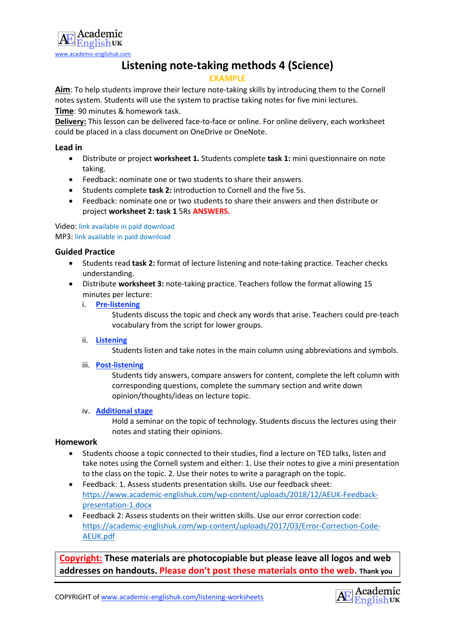

# **Listening note-taking methods 4 (Science)**

## **EXAMPLE**

**Aim**: To help students improve their lecture note-taking skills by introducing them to the Cornell notes system. Students will use the system to practise taking notes for five mini lectures. **Time**: 90 minutes & homework task.

**Delivery:** This lesson can be delivered face-to-face or online. For online delivery, each worksheet could be placed in a class document on OneDrive or OneNote.

## **Lead in**

- Distribute or project **worksheet 1.** Students complete **task 1:** mini questionnaire on note taking.
- Feedback: nominate one or two students to share their answers.
- Students complete **task 2:** introduction to Cornell and the five 5s.
- Feedback: nominate one or two students to share their answers and then distribute or project **worksheet 2: task 1** 5Rs **ANSWERS.**

## Video: link available in paid download MP3: link available in paid download

## **Guided Practice**

- Students read **task 2:** format of lecture listening and note-taking practice. Teacher checks understanding.
- Distribute **worksheet 3:** note-taking practice. Teachers follow the format allowing 15 minutes per lecture:
	- i. **Pre-listening**

Students discuss the topic and check any words that arise. Teachers could pre-teach vocabulary from the script for lower groups.

ii. **Listening**

Students listen and take notes in the main column using abbreviations and symbols.

iii. **Post-listening**

Students tidy answers, compare answers for content, complete the left column with corresponding questions, complete the summary section and write down opinion/thoughts/ideas on lecture topic.

#### iv. **Additional stage**

Hold a seminar on the topic of technology. Students discuss the lectures using their notes and stating their opinions.

## **Homework**

- Students choose a topic connected to their studies, find a lecture on TED talks, listen and take notes using the Cornell system and either: 1. Use their notes to give a mini presentation to the class on the topic. 2. Use their notes to write a paragraph on the topic.
- Feedback: 1. Assess students presentation skills. Use our feedback sheet: https://www.academic-englishuk.com/wp-content/uploads/2018/12/AEUK-Feedbackpresentation-1.docx
- Feedback 2: Assess students on their written skills. Use our error correction code: https://academic-englishuk.com/wp-content/uploads/2017/03/Error-Correction-Code-AEUK.pdf

**Copyright: These materials are photocopiable but please leave all logos and web addresses on handouts. Please don't post these materials onto the web. Thank you**

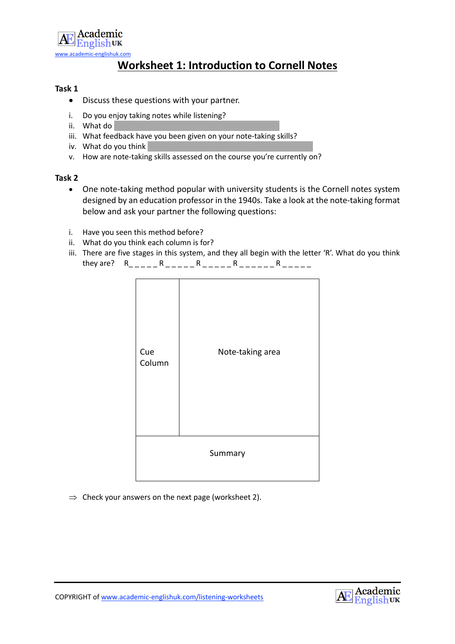

# **Worksheet 1: Introduction to Cornell Notes**

## **Task 1**

- Discuss these questions with your partner.
- i. Do you enjoy taking notes while listening?
- ii. What  $d\sigma$
- iii. What feedback have you been given on your note-taking skills?
- iv. What do you think
- v. How are note-taking skills assessed on the course you're currently on?

## **Task 2**

- One note-taking method popular with university students is the Cornell notes system designed by an education professor in the 1940s. Take a look at the note-taking format below and ask your partner the following questions:
- i. Have you seen this method before?
- ii. What do you think each column is for?
- iii. There are five stages in this system, and they all begin with the letter 'R'. What do you think they are?  $R_{\text{max}}R_{\text{max}} = R_{\text{max}}R_{\text{max}} = R_{\text{max}}R_{\text{max}}$



 $\Rightarrow$  Check your answers on the next page (worksheet 2).

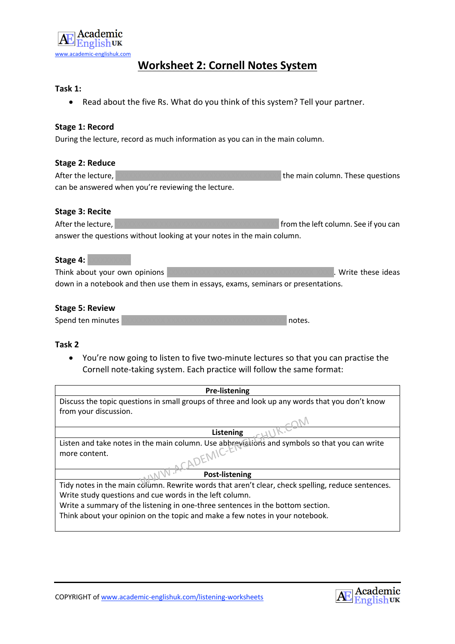

# **Worksheet 2: Cornell Notes System**

## **Task 1:**

• Read about the five Rs. What do you think of this system? Tell your partner.

## **Stage 1: Record**

During the lecture, record as much information as you can in the main column.

| <b>Stage 2: Reduce</b> |                                                                        |                                      |  |  |
|------------------------|------------------------------------------------------------------------|--------------------------------------|--|--|
| After the lecture,     |                                                                        | the main column. These questions     |  |  |
|                        | can be answered when you're reviewing the lecture.                     |                                      |  |  |
| <b>Stage 3: Recite</b> |                                                                        |                                      |  |  |
| After the lecture,     |                                                                        | from the left column. See if you can |  |  |
|                        | answer the questions without looking at your notes in the main column. |                                      |  |  |
| Stage 4:               |                                                                        |                                      |  |  |

Think about your own opinions XXXXXXXXXX XXXXXXXXXXXXXXXXXXXXXXX XXXX. Write these ideas down in a notebook and then use them in essays, exams, seminars or presentations.

## **Stage 5: Review**

| Spend ten minutes | I notes. |
|-------------------|----------|
|-------------------|----------|

## **Task 2**

• You're now going to listen to five two-minute lectures so that you can practise the Cornell note-taking system. Each practice will follow the same format:

| <b>Pre-listening</b>                                                                              |  |
|---------------------------------------------------------------------------------------------------|--|
| Discuss the topic questions in small groups of three and look up any words that you don't know    |  |
| from your discussion.                                                                             |  |
|                                                                                                   |  |
| Listening                                                                                         |  |
| Listen and take notes in the main column. Use abbreviations and symbols so that you can write     |  |
| $FNNC-E1$<br>more content.                                                                        |  |
|                                                                                                   |  |
| <b>Post-listening</b>                                                                             |  |
| Tidy notes in the main column. Rewrite words that aren't clear, check spelling, reduce sentences. |  |
| Write study questions and cue words in the left column.                                           |  |
| Write a summary of the listening in one-three sentences in the bottom section.                    |  |
| Think about your opinion on the topic and make a few notes in your notebook.                      |  |
|                                                                                                   |  |



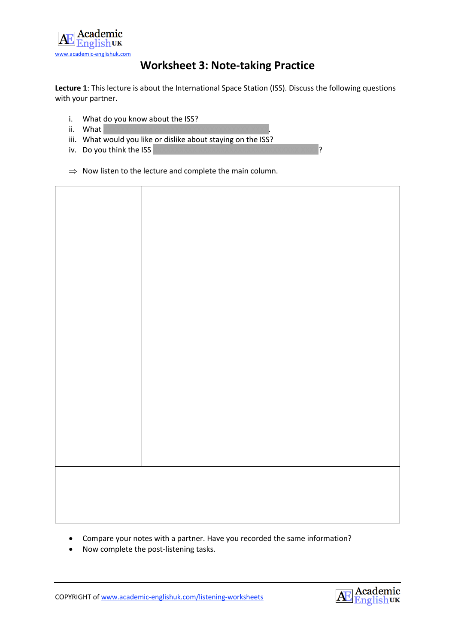

# **Worksheet 3: Note-taking Practice**

**Lecture 1**: This lecture is about the International Space Station (ISS). Discuss the following questions with your partner.

- i. What do you know about the ISS?
- ii. What
- iii. What would you like or dislike about staying on the ISS?
- iv. Do you think the  $ISS$
- $\Rightarrow$  Now listen to the lecture and complete the main column.



- Compare your notes with a partner. Have you recorded the same information?
- Now complete the post-listening tasks.

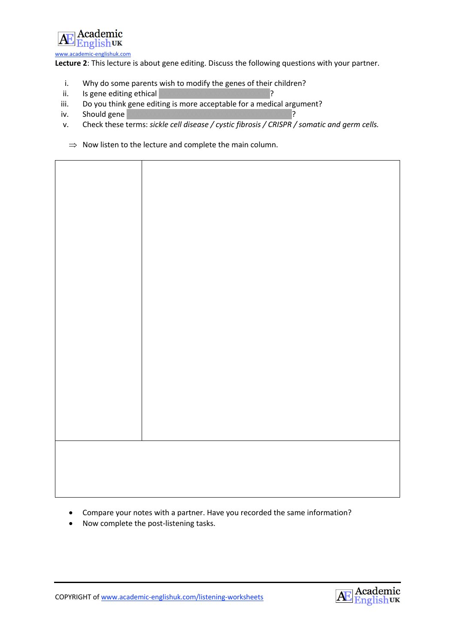

**Lecture 2**: This lecture is about gene editing. Discuss the following questions with your partner.

- i. Why do some parents wish to modify the genes of their children?
- ii. Is gene editing ethical XXXXXXXXXX XXXXXXXXXXXXXXX?
- iii. Do you think gene editing is more acceptable for a medical argument?
- iv. Should gene XXXXXXXXXX XXXXXXXXXXXXXXXXXXXXXXX XXXX?
- v. Check these terms: *sickle cell disease / cystic fibrosis / CRISPR / somatic and germ cells.*
	- $\Rightarrow$  Now listen to the lecture and complete the main column.

• Compare your notes with a partner. Have you recorded the same information?

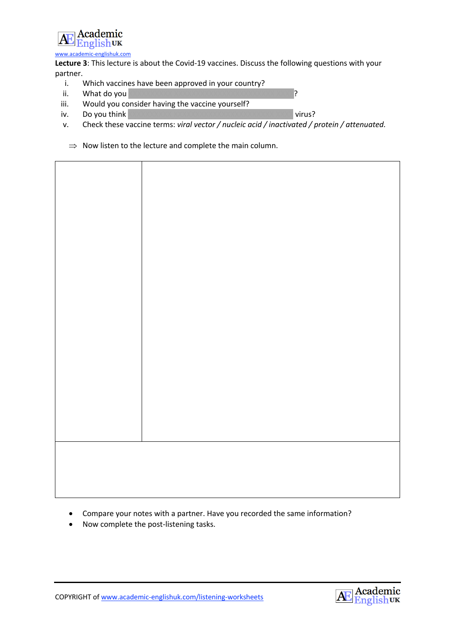

**Lecture 3**: This lecture is about the Covid-19 vaccines. Discuss the following questions with your partner.

- i. Which vaccines have been approved in your country?
- ii. What do you
- iii. Would you consider having the vaccine yourself?
- iv. Do you think XXXXXXXXXX XXXXXXXXXXXXXXXXXXXXXXX XXXX virus?
- v. Check these vaccine terms: *viral vector / nucleic acid / inactivated / protein / attenuated.*
	- $\Rightarrow$  Now listen to the lecture and complete the main column.



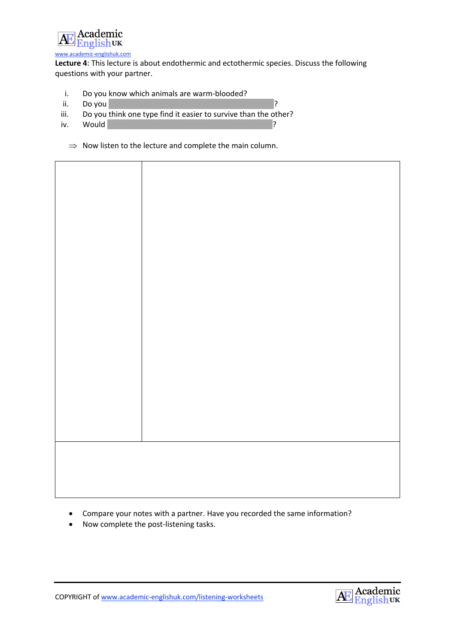

**Lecture 4**: This lecture is about endothermic and ectothermic species. Discuss the following questions with your partner.

- i. Do you know which animals are warm-blooded?
- ii. Do you XXXXXXXXXX XXXXXXXXXXXXXXXXXXXXXXX XXXX?
- iii. Do you think one type find it easier to survive than the other?
- iv. Would XXXXXXXXXX XXXXXXXXXXXXXXXXXXXXXXX XXXX?
	- $\Rightarrow$  Now listen to the lecture and complete the main column.



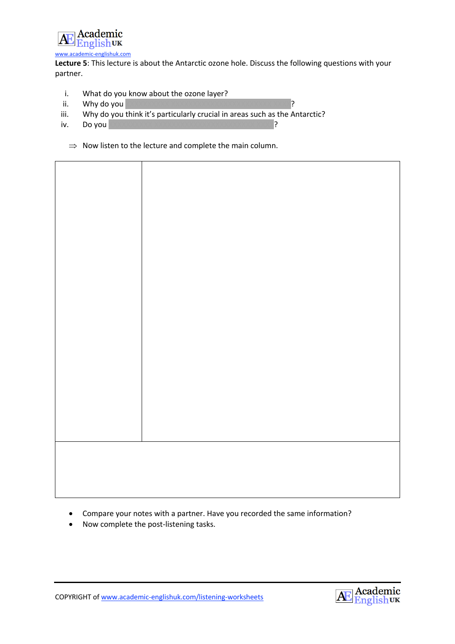

**Lecture 5**: This lecture is about the Antarctic ozone hole. Discuss the following questions with your partner.

- i. What do you know about the ozone layer?
- ii. Why do you **DOOOOOOOOOOOOOOOOOOOOOOOOOOOOOOOO**?
- iii. Why do you think it's particularly crucial in areas such as the Antarctic?
- iv. Do you XXXXXXXXXX XXXXXXXXXXXXXXXXXXXXXXX XXXX?
	- $\Rightarrow$  Now listen to the lecture and complete the main column.



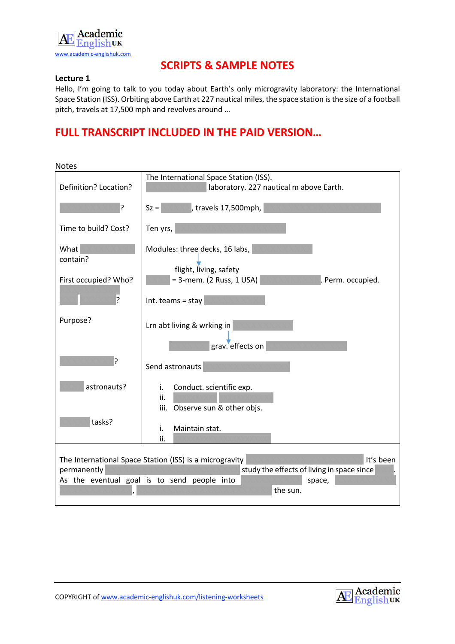

# **SCRIPTS & SAMPLE NOTES**

## **Lecture 1**

Hello, I'm going to talk to you today about Earth's only microgravity laboratory: the International Space Station (ISS). Orbiting above Earth at 227 nautical miles, the space station is the size of a football pitch, travels at 17,500 mph and revolves around …

| <b>Notes</b>                                                                                                                                                                                           |                                                                                   |
|--------------------------------------------------------------------------------------------------------------------------------------------------------------------------------------------------------|-----------------------------------------------------------------------------------|
| Definition? Location?                                                                                                                                                                                  | The International Space Station (ISS).<br>laboratory. 227 nautical m above Earth. |
| ?                                                                                                                                                                                                      | travels 17,500mph,<br>$Sz =$                                                      |
| Time to build? Cost?                                                                                                                                                                                   | Ten yrs,                                                                          |
| What<br>contain?                                                                                                                                                                                       | Modules: three decks, 16 labs,<br>flight, living, safety                          |
| First occupied? Who?<br>5.                                                                                                                                                                             | = 3-mem. (2 Russ, 1 USA)<br>Perm. occupied.<br>Int. teams = stay                  |
| Purpose?                                                                                                                                                                                               | Lrn abt living & wrking in<br>grav. effects on                                    |
| ?                                                                                                                                                                                                      | Send astronauts                                                                   |
| astronauts?                                                                                                                                                                                            | Conduct. scientific exp.<br>i.<br>ii.<br>Observe sun & other objs.<br>iii.        |
| tasks?                                                                                                                                                                                                 | Maintain stat.<br>i.<br>ii.                                                       |
| It's been<br>The International Space Station (ISS) is a microgravity<br>study the effects of living in space since<br>permanently<br>As the eventual goal is to send people into<br>space,<br>the sun. |                                                                                   |



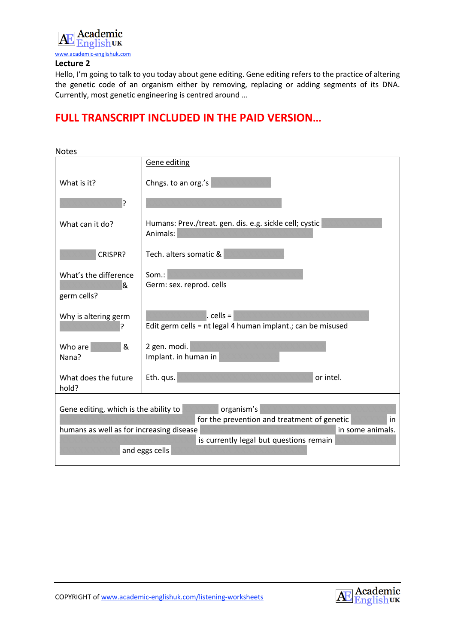

Hello, I'm going to talk to you today about gene editing. Gene editing refers to the practice of altering the genetic code of an organism either by removing, replacing or adding segments of its DNA. Currently, most genetic engineering is centred around …

| <b>Notes</b>                                                                                                              |                                                                             |  |
|---------------------------------------------------------------------------------------------------------------------------|-----------------------------------------------------------------------------|--|
|                                                                                                                           | Gene editing                                                                |  |
| What is it?                                                                                                               | Chngs. to an org.'s                                                         |  |
| 5.                                                                                                                        |                                                                             |  |
| What can it do?                                                                                                           | Humans: Prev./treat. gen. dis. e.g. sickle cell; cystic<br>Animals:         |  |
| CRISPR?                                                                                                                   | Tech. alters somatic &                                                      |  |
| What's the difference<br>&<br>germ cells?                                                                                 | Som.:<br>Germ: sex. reprod. cells                                           |  |
| Why is altering germ                                                                                                      | $.$ cells =<br>Edit germ cells = nt legal 4 human implant .; can be misused |  |
| &<br>Who are<br>Nana?                                                                                                     | 2 gen. modi.<br>Implant. in human in                                        |  |
| What does the future<br>hold?                                                                                             | or intel.<br>Eth. qus.                                                      |  |
| organism's<br>Gene editing, which is the ability to<br>for the prevention and treatment of genetic<br>in                  |                                                                             |  |
| humans as well as for increasing disease<br>in some animals.<br>is currently legal but questions remain<br>and eggs cells |                                                                             |  |

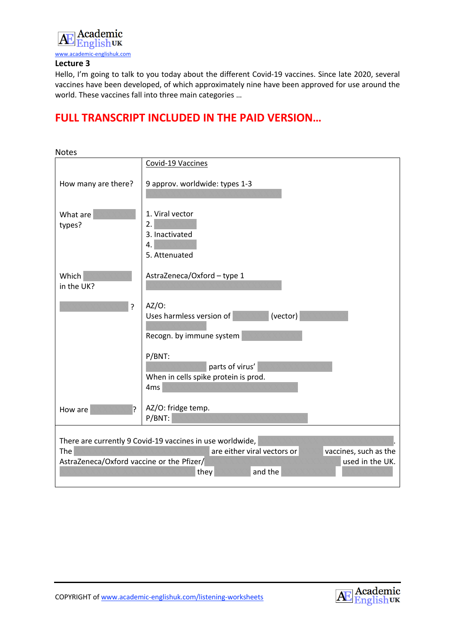

Hello, I'm going to talk to you today about the different Covid-19 vaccines. Since late 2020, several vaccines have been developed, of which approximately nine have been approved for use around the world. These vaccines fall into three main categories …

| <b>Notes</b>                                                                                                                                                                                                |                                                                                      |
|-------------------------------------------------------------------------------------------------------------------------------------------------------------------------------------------------------------|--------------------------------------------------------------------------------------|
|                                                                                                                                                                                                             | Covid-19 Vaccines                                                                    |
| How many are there?                                                                                                                                                                                         | 9 approv. worldwide: types 1-3                                                       |
| What are<br>types?                                                                                                                                                                                          | 1. Viral vector<br>2.<br>3. Inactivated<br>4.<br>5. Attenuated                       |
| Which<br>in the UK?                                                                                                                                                                                         | AstraZeneca/Oxford - type 1                                                          |
| $\overline{?}$                                                                                                                                                                                              | $AZ/O$ :<br>(vector)<br>Uses harmless version of<br>Recogn. by immune system         |
|                                                                                                                                                                                                             | P/BNT:<br>parts of virus'<br>When in cells spike protein is prod.<br>4 <sub>ms</sub> |
| 7<br>How are                                                                                                                                                                                                | AZ/O: fridge temp.<br>P/BNT:                                                         |
| There are currently 9 Covid-19 vaccines in use worldwide,<br>The<br>are either viral vectors or<br>vaccines, such as the<br>AstraZeneca/Oxford vaccine or the Pfizer/<br>used in the UK.<br>and the<br>they |                                                                                      |

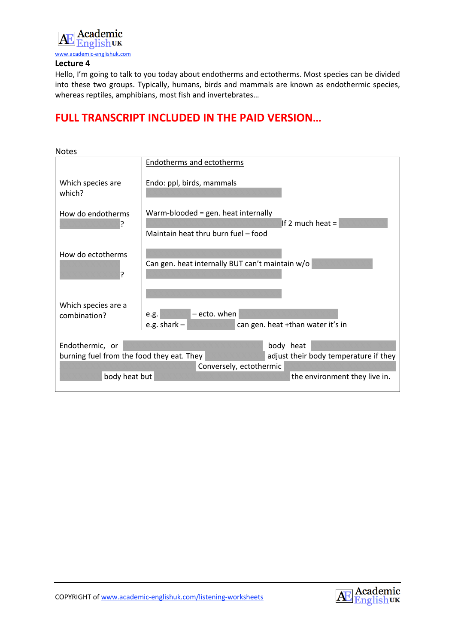

Hello, I'm going to talk to you today about endotherms and ectotherms. Most species can be divided into these two groups. Typically, humans, birds and mammals are known as endothermic species, whereas reptiles, amphibians, most fish and invertebrates…

| <b>Notes</b>                                                                       |                                                     |  |
|------------------------------------------------------------------------------------|-----------------------------------------------------|--|
|                                                                                    | Endotherms and ectotherms                           |  |
| Which species are<br>which?                                                        | Endo: ppl, birds, mammals                           |  |
| How do endotherms                                                                  | Warm-blooded = gen. heat internally                 |  |
|                                                                                    | If 2 much heat $=$                                  |  |
|                                                                                    | Maintain heat thru burn fuel - food                 |  |
| How do ectotherms                                                                  |                                                     |  |
|                                                                                    | Can gen. heat internally BUT can't maintain w/o     |  |
| ?                                                                                  |                                                     |  |
|                                                                                    |                                                     |  |
| Which species are a                                                                |                                                     |  |
| combination?                                                                       | - ecto. when<br>e.g.                                |  |
|                                                                                    | e.g. shark $-$<br>can gen. heat +than water it's in |  |
|                                                                                    |                                                     |  |
| Endothermic, or<br>body heat                                                       |                                                     |  |
| adjust their body temperature if they<br>burning fuel from the food they eat. They |                                                     |  |
| Conversely, ectothermic                                                            |                                                     |  |
| body heat but<br>the environment they live in.                                     |                                                     |  |
|                                                                                    |                                                     |  |